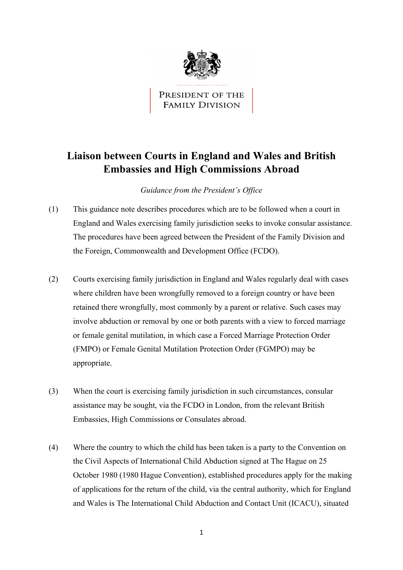

PRESIDENT OF THE **FAMILY DIVISION** 

## **Liaison between Courts in England and Wales and British Embassies and High Commissions Abroad**

*Guidance from the President's Office* 

- (1) This guidance note describes procedures which are to be followed when a court in England and Wales exercising family jurisdiction seeks to invoke consular assistance. The procedures have been agreed between the President of the Family Division and the Foreign, Commonwealth and Development Office (FCDO).
- (2) Courts exercising family jurisdiction in England and Wales regularly deal with cases where children have been wrongfully removed to a foreign country or have been retained there wrongfully, most commonly by a parent or relative. Such cases may involve abduction or removal by one or both parents with a view to forced marriage or female genital mutilation, in which case a Forced Marriage Protection Order (FMPO) or Female Genital Mutilation Protection Order (FGMPO) may be appropriate.
- (3) When the court is exercising family jurisdiction in such circumstances, consular assistance may be sought, via the FCDO in London, from the relevant British Embassies, High Commissions or Consulates abroad.
- (4) Where the country to which the child has been taken is a party to the Convention on the Civil Aspects of International Child Abduction signed at The Hague on 25 October 1980 (1980 Hague Convention), established procedures apply for the making of applications for the return of the child, via the central authority, which for England and Wales is The International Child Abduction and Contact Unit (ICACU), situated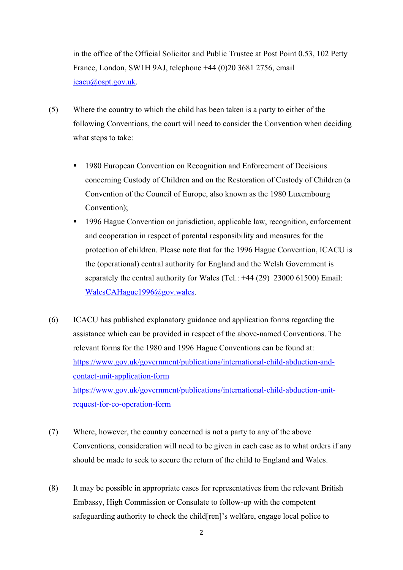in the office of the Official Solicitor and Public Trustee at Post Point 0.53, 102 Petty France, London, SW1H 9AJ, telephone +44 (0)20 3681 2756, email [icacu@ospt.gov.uk.](mailto:icacu@ospt.gov.uk)

- (5) Where the country to which the child has been taken is a party to either of the following Conventions, the court will need to consider the Convention when deciding what steps to take:
	- 1980 European Convention on Recognition and Enforcement of Decisions concerning Custody of Children and on the Restoration of Custody of Children (a Convention of the Council of Europe, also known as the 1980 Luxembourg Convention);
	- <sup>1996</sup> Hague Convention on jurisdiction, applicable law, recognition, enforcement and cooperation in respect of parental responsibility and measures for the protection of children. Please note that for the 1996 Hague Convention, ICACU is the (operational) central authority for England and the Welsh Government is separately the central authority for Wales (Tel.: +44 (29) 23000 61500) Email: [WalesCAHague1996@gov.wales.](mailto:WalesCAHague1996@gov.wales)
- (6) ICACU has published explanatory guidance and application forms regarding the assistance which can be provided in respect of the above-named Conventions. The relevant forms for the 1980 and 1996 Hague Conventions can be found at: [https://www.gov.uk/government/publications/international-child-abduction-and](https://www.gov.uk/government/publications/international-child-abduction-and-contact-unit-application-form)[contact-unit-application-form](https://www.gov.uk/government/publications/international-child-abduction-and-contact-unit-application-form)  [https://www.gov.uk/government/publications/international-child-abduction-unit](https://www.gov.uk/government/publications/international-child-abduction-unit-request-for-co-operation-form)[request-for-co-operation-form](https://www.gov.uk/government/publications/international-child-abduction-unit-request-for-co-operation-form)
- (7) Where, however, the country concerned is not a party to any of the above Conventions, consideration will need to be given in each case as to what orders if any should be made to seek to secure the return of the child to England and Wales.
- (8) It may be possible in appropriate cases for representatives from the relevant British Embassy, High Commission or Consulate to follow-up with the competent safeguarding authority to check the child[ren]'s welfare, engage local police to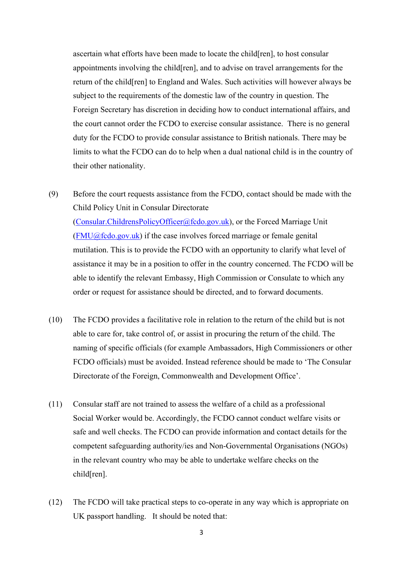ascertain what efforts have been made to locate the child[ren], to host consular appointments involving the child[ren], and to advise on travel arrangements for the return of the child[ren] to England and Wales. Such activities will however always be subject to the requirements of the domestic law of the country in question. The Foreign Secretary has discretion in deciding how to conduct international affairs, and the court cannot order the FCDO to exercise consular assistance. There is no general duty for the FCDO to provide consular assistance to British nationals. There may be limits to what the FCDO can do to help when a dual national child is in the country of their other nationality.

- (9) Before the court requests assistance from the FCDO, contact should be made with the Child Policy Unit in Consular Directorate [\(Consular.ChildrensPolicyOfficer@fcdo.gov.uk\)](mailto:Consular.ChildrensPolicyOfficer@fcdo.gov.uk), or the Forced Marriage Unit  $(FMU@fcdo.gov.uk)$  if the case involves forced marriage or female genital mutilation. This is to provide the FCDO with an opportunity to clarify what level of assistance it may be in a position to offer in the country concerned. The FCDO will be able to identify the relevant Embassy, High Commission or Consulate to which any order or request for assistance should be directed, and to forward documents.
- (10) The FCDO provides a facilitative role in relation to the return of the child but is not able to care for, take control of, or assist in procuring the return of the child. The naming of specific officials (for example Ambassadors, High Commissioners or other FCDO officials) must be avoided. Instead reference should be made to 'The Consular Directorate of the Foreign, Commonwealth and Development Office'.
- (11) Consular staff are not trained to assess the welfare of a child as a professional Social Worker would be. Accordingly, the FCDO cannot conduct welfare visits or safe and well checks. The FCDO can provide information and contact details for the competent safeguarding authority/ies and Non-Governmental Organisations (NGOs) in the relevant country who may be able to undertake welfare checks on the child[ren].
- (12) The FCDO will take practical steps to co-operate in any way which is appropriate on UK passport handling. It should be noted that: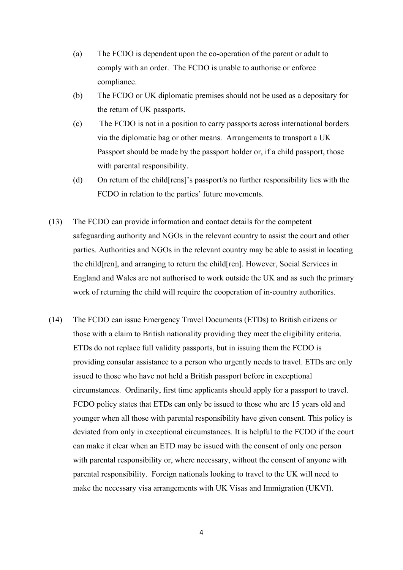- (a) The FCDO is dependent upon the co-operation of the parent or adult to comply with an order. The FCDO is unable to authorise or enforce compliance.
- (b) The FCDO or UK diplomatic premises should not be used as a depositary for the return of UK passports.
- (c) The FCDO is not in a position to carry passports across international borders via the diplomatic bag or other means. Arrangements to transport a UK Passport should be made by the passport holder or, if a child passport, those with parental responsibility.
- (d) On return of the child[rens]'s passport/s no further responsibility lies with the FCDO in relation to the parties' future movements.
- (13) The FCDO can provide information and contact details for the competent safeguarding authority and NGOs in the relevant country to assist the court and other parties. Authorities and NGOs in the relevant country may be able to assist in locating the child[ren], and arranging to return the child[ren]. However, Social Services in England and Wales are not authorised to work outside the UK and as such the primary work of returning the child will require the cooperation of in-country authorities.
- (14) The FCDO can issue Emergency Travel Documents (ETDs) to British citizens or those with a claim to British nationality providing they meet the eligibility criteria. ETDs do not replace full validity passports, but in issuing them the FCDO is providing consular assistance to a person who urgently needs to travel. ETDs are only issued to those who have not held a British passport before in exceptional circumstances. Ordinarily, first time applicants should apply for a passport to travel. FCDO policy states that ETDs can only be issued to those who are 15 years old and younger when all those with parental responsibility have given consent. This policy is deviated from only in exceptional circumstances. It is helpful to the FCDO if the court can make it clear when an ETD may be issued with the consent of only one person with parental responsibility or, where necessary, without the consent of anyone with parental responsibility. Foreign nationals looking to travel to the UK will need to make the necessary visa arrangements with UK Visas and Immigration (UKVI).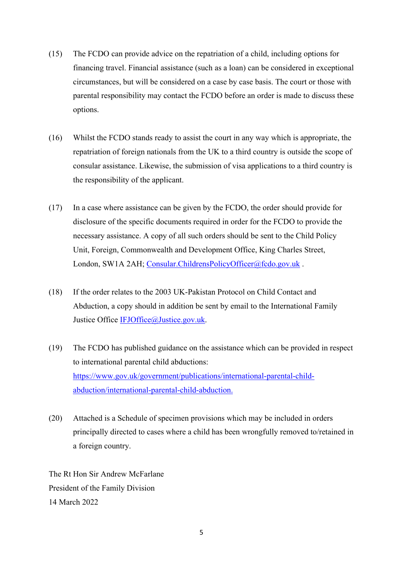- (15) The FCDO can provide advice on the repatriation of a child, including options for financing travel. Financial assistance (such as a loan) can be considered in exceptional circumstances, but will be considered on a case by case basis. The court or those with parental responsibility may contact the FCDO before an order is made to discuss these options.
- (16) Whilst the FCDO stands ready to assist the court in any way which is appropriate, the repatriation of foreign nationals from the UK to a third country is outside the scope of consular assistance. Likewise, the submission of visa applications to a third country is the responsibility of the applicant.
- (17) In a case where assistance can be given by the FCDO, the order should provide for disclosure of the specific documents required in order for the FCDO to provide the necessary assistance. A copy of all such orders should be sent to the Child Policy Unit, Foreign, Commonwealth and Development Office, King Charles Street, London, SW1A 2AH; Consular.ChildrensPolicyOfficer@fcdo.gov.uk.
- (18) If the order relates to the 2003 UK-Pakistan Protocol on Child Contact and Abduction, a copy should in addition be sent by email to the International Family Justice Office [IFJOffice@Justice.gov.uk.](mailto:IFJOffice@Justice.gov.uk)
- (19) The FCDO has published guidance on the assistance which can be provided in respect to international parental child abductions: [https://www.gov.uk/government/publications/international-parental-child](https://www.gov.uk/government/publications/international-parental-child-abduction/international-parental-child-abduction)[abduction/international-parental-child-abduction.](https://www.gov.uk/government/publications/international-parental-child-abduction/international-parental-child-abduction)
- (20) Attached is a Schedule of specimen provisions which may be included in orders principally directed to cases where a child has been wrongfully removed to/retained in a foreign country.

The Rt Hon Sir Andrew McFarlane President of the Family Division 14 March 2022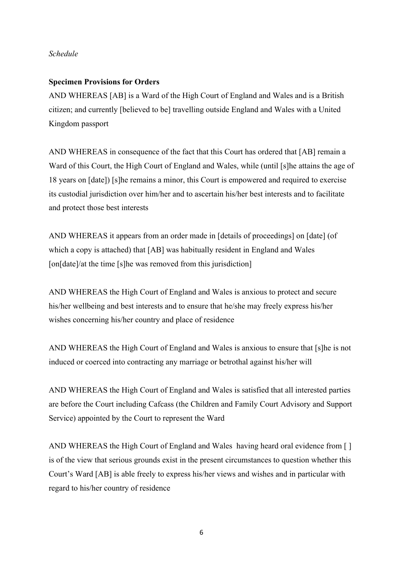## *Schedule*

## **Specimen Provisions for Orders**

AND WHEREAS [AB] is a Ward of the High Court of England and Wales and is a British citizen; and currently [believed to be] travelling outside England and Wales with a United Kingdom passport

AND WHEREAS in consequence of the fact that this Court has ordered that [AB] remain a Ward of this Court, the High Court of England and Wales, while (until [s]he attains the age of 18 years on [date]) [s]he remains a minor, this Court is empowered and required to exercise its custodial jurisdiction over him/her and to ascertain his/her best interests and to facilitate and protect those best interests

AND WHEREAS it appears from an order made in [details of proceedings] on [date] (of which a copy is attached) that [AB] was habitually resident in England and Wales [on[date]/at the time [s]he was removed from this jurisdiction]

AND WHEREAS the High Court of England and Wales is anxious to protect and secure his/her wellbeing and best interests and to ensure that he/she may freely express his/her wishes concerning his/her country and place of residence

AND WHEREAS the High Court of England and Wales is anxious to ensure that [s]he is not induced or coerced into contracting any marriage or betrothal against his/her will

AND WHEREAS the High Court of England and Wales is satisfied that all interested parties are before the Court including Cafcass (the Children and Family Court Advisory and Support Service) appointed by the Court to represent the Ward

AND WHEREAS the High Court of England and Wales having heard oral evidence from [ ] is of the view that serious grounds exist in the present circumstances to question whether this Court's Ward [AB] is able freely to express his/her views and wishes and in particular with regard to his/her country of residence